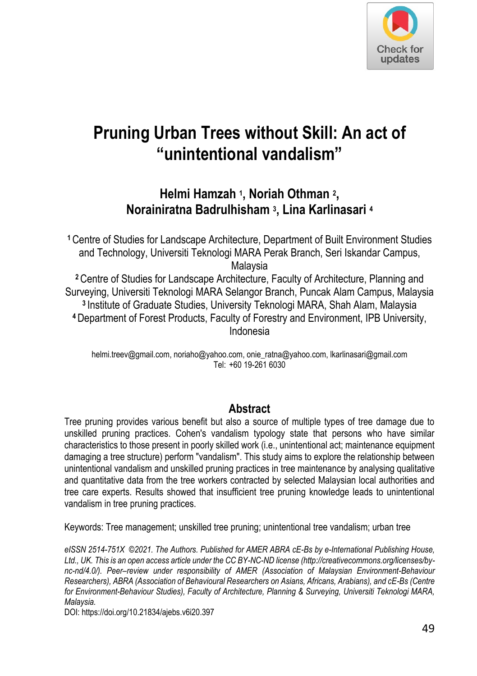

# **Pruning Urban Trees without Skill: An act of "unintentional vandalism"**

**Helmi Hamzah <sup>1</sup> , Noriah Othman <sup>2</sup> , Norainiratna Badrulhisham <sup>3</sup> , Lina Karlinasari <sup>4</sup>**

**<sup>1</sup>**Centre of Studies for Landscape Architecture, Department of Built Environment Studies and Technology, Universiti Teknologi MARA Perak Branch, Seri Iskandar Campus, Malaysia

**<sup>2</sup>**Centre of Studies for Landscape Architecture, Faculty of Architecture, Planning and Surveying, Universiti Teknologi MARA Selangor Branch, Puncak Alam Campus, Malaysia **<sup>3</sup>**Institute of Graduate Studies, University Teknologi MARA, Shah Alam, Malaysia **<sup>4</sup>**Department of Forest Products, Faculty of Forestry and Environment, IPB University, Indonesia

helmi.treev@gmail.com, noriaho@yahoo.com, onie\_ratna@yahoo.com, lkarlinasari@gmail.com Tel: +60 19-261 6030

#### **Abstract**

Tree pruning provides various benefit but also a source of multiple types of tree damage due to unskilled pruning practices. Cohen's vandalism typology state that persons who have similar characteristics to those present in poorly skilled work (i.e., unintentional act; maintenance equipment damaging a tree structure) perform "vandalism". This study aims to explore the relationship between unintentional vandalism and unskilled pruning practices in tree maintenance by analysing qualitative and quantitative data from the tree workers contracted by selected Malaysian local authorities and tree care experts. Results showed that insufficient tree pruning knowledge leads to unintentional vandalism in tree pruning practices.

Keywords: Tree management; unskilled tree pruning; unintentional tree vandalism; urban tree

*eISSN 2514-751X ©2021. The Authors. Published for AMER ABRA cE-Bs by e-International Publishing House, Ltd., UK. This is an open access article under the CC BY-NC-ND license (http://creativecommons.org/licenses/bync-nd/4.0/). Peer–review under responsibility of AMER (Association of Malaysian Environment-Behaviour Researchers), ABRA (Association of Behavioural Researchers on Asians, Africans, Arabians), and cE-Bs (Centre for Environment-Behaviour Studies), Faculty of Architecture, Planning & Surveying, Universiti Teknologi MARA, Malaysia.* 

DOI: https://doi.org/10.21834/ajebs.v6i20.397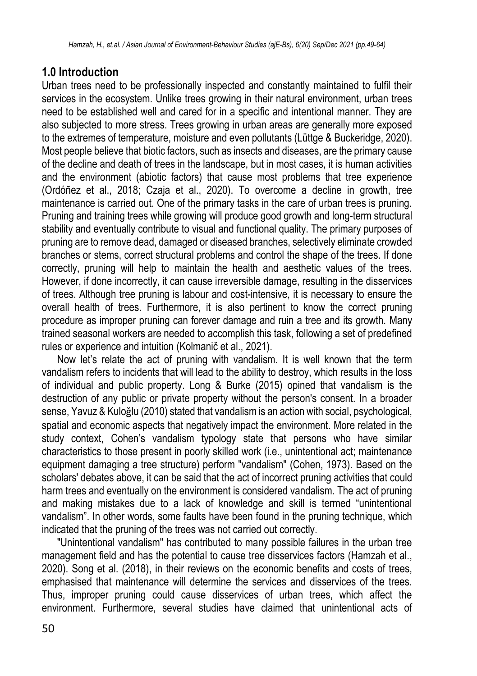## **1.0 Introduction**

Urban trees need to be professionally inspected and constantly maintained to fulfil their services in the ecosystem. Unlike trees growing in their natural environment, urban trees need to be established well and cared for in a specific and intentional manner. They are also subjected to more stress. Trees growing in urban areas are generally more exposed to the extremes of temperature, moisture and even pollutants (Lüttge & Buckeridge, 2020). Most people believe that biotic factors, such as insects and diseases, are the primary cause of the decline and death of trees in the landscape, but in most cases, it is human activities and the environment (abiotic factors) that cause most problems that tree experience (Ordóñez et al., 2018; Czaja et al., 2020). To overcome a decline in growth, tree maintenance is carried out. One of the primary tasks in the care of urban trees is pruning. Pruning and training trees while growing will produce good growth and long-term structural stability and eventually contribute to visual and functional quality. The primary purposes of pruning are to remove dead, damaged or diseased branches, selectively eliminate crowded branches or stems, correct structural problems and control the shape of the trees. If done correctly, pruning will help to maintain the health and aesthetic values of the trees. However, if done incorrectly, it can cause irreversible damage, resulting in the disservices of trees. Although tree pruning is labour and cost-intensive, it is necessary to ensure the overall health of trees. Furthermore, it is also pertinent to know the correct pruning procedure as improper pruning can forever damage and ruin a tree and its growth. Many trained seasonal workers are needed to accomplish this task, following a set of predefined rules or experience and intuition (Kolmanič et al., 2021).

Now let's relate the act of pruning with vandalism. It is well known that the term vandalism refers to incidents that will lead to the ability to destroy, which results in the loss of individual and public property. Long & Burke (2015) opined that vandalism is the destruction of any public or private property without the person's consent. In a broader sense, Yavuz & Kuloğlu (2010) stated that vandalism is an action with social, psychological, spatial and economic aspects that negatively impact the environment. More related in the study context, Cohen's vandalism typology state that persons who have similar characteristics to those present in poorly skilled work (i.e., unintentional act; maintenance equipment damaging a tree structure) perform "vandalism" (Cohen, 1973). Based on the scholars' debates above, it can be said that the act of incorrect pruning activities that could harm trees and eventually on the environment is considered vandalism. The act of pruning and making mistakes due to a lack of knowledge and skill is termed "unintentional vandalism". In other words, some faults have been found in the pruning technique, which indicated that the pruning of the trees was not carried out correctly.

"Unintentional vandalism" has contributed to many possible failures in the urban tree management field and has the potential to cause tree disservices factors (Hamzah et al., 2020). Song et al. (2018), in their reviews on the economic benefits and costs of trees, emphasised that maintenance will determine the services and disservices of the trees. Thus, improper pruning could cause disservices of urban trees, which affect the environment. Furthermore, several studies have claimed that unintentional acts of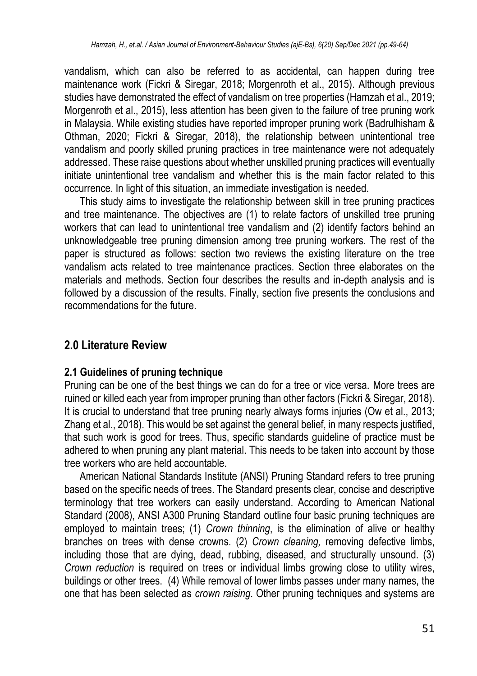vandalism, which can also be referred to as accidental, can happen during tree maintenance work (Fickri & Siregar, 2018; Morgenroth et al., 2015). Although previous studies have demonstrated the effect of vandalism on tree properties (Hamzah et al., 2019; Morgenroth et al., 2015), less attention has been given to the failure of tree pruning work in Malaysia. While existing studies have reported improper pruning work (Badrulhisham & Othman, 2020; Fickri & Siregar, 2018), the relationship between unintentional tree vandalism and poorly skilled pruning practices in tree maintenance were not adequately addressed. These raise questions about whether unskilled pruning practices will eventually initiate unintentional tree vandalism and whether this is the main factor related to this occurrence. In light of this situation, an immediate investigation is needed.

This study aims to investigate the relationship between skill in tree pruning practices and tree maintenance. The objectives are (1) to relate factors of unskilled tree pruning workers that can lead to unintentional tree vandalism and (2) identify factors behind an unknowledgeable tree pruning dimension among tree pruning workers. The rest of the paper is structured as follows: section two reviews the existing literature on the tree vandalism acts related to tree maintenance practices. Section three elaborates on the materials and methods. Section four describes the results and in-depth analysis and is followed by a discussion of the results. Finally, section five presents the conclusions and recommendations for the future.

# **2.0 Literature Review**

### **2.1 Guidelines of pruning technique**

Pruning can be one of the best things we can do for a tree or vice versa. More trees are ruined or killed each year from improper pruning than other factors (Fickri & Siregar, 2018). It is crucial to understand that tree pruning nearly always forms injuries (Ow et al., 2013; Zhang et al., 2018). This would be set against the general belief, in many respects justified, that such work is good for trees. Thus, specific standards guideline of practice must be adhered to when pruning any plant material. This needs to be taken into account by those tree workers who are held accountable.

American National Standards Institute (ANSI) Pruning Standard refers to tree pruning based on the specific needs of trees. The Standard presents clear, concise and descriptive terminology that tree workers can easily understand. According to American National Standard (2008), ANSI A300 Pruning Standard outline four basic pruning techniques are employed to maintain trees; (1) *Crown thinning*, is the elimination of alive or healthy branches on trees with dense crowns. (2) *Crown cleaning,* removing defective limbs, including those that are dying, dead, rubbing, diseased, and structurally unsound. (3) *Crown reduction* is required on trees or individual limbs growing close to utility wires, buildings or other trees. (4) While removal of lower limbs passes under many names, the one that has been selected as *crown raising*. Other pruning techniques and systems are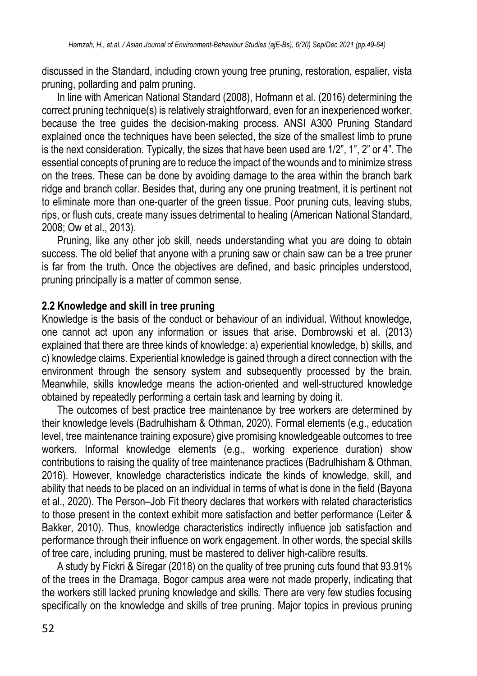discussed in the Standard, including crown young tree pruning, restoration, espalier, vista pruning, pollarding and palm pruning.

In line with American National Standard (2008), Hofmann et al. (2016) determining the correct pruning technique(s) is relatively straightforward, even for an inexperienced worker, because the tree guides the decision-making process. ANSI A300 Pruning Standard explained once the techniques have been selected, the size of the smallest limb to prune is the next consideration. Typically, the sizes that have been used are 1/2", 1", 2" or 4". The essential concepts of pruning are to reduce the impact of the wounds and to minimize stress on the trees. These can be done by avoiding damage to the area within the branch bark ridge and branch collar. Besides that, during any one pruning treatment, it is pertinent not to eliminate more than one-quarter of the green tissue. Poor pruning cuts, leaving stubs, rips, or flush cuts, create many issues detrimental to healing (American National Standard, 2008; Ow et al., 2013).

Pruning, like any other job skill, needs understanding what you are doing to obtain success. The old belief that anyone with a pruning saw or chain saw can be a tree pruner is far from the truth. Once the objectives are defined, and basic principles understood, pruning principally is a matter of common sense.

#### **2.2 Knowledge and skill in tree pruning**

Knowledge is the basis of the conduct or behaviour of an individual. Without knowledge, one cannot act upon any information or issues that arise. Dombrowski et al. (2013) explained that there are three kinds of knowledge: a) experiential knowledge, b) skills, and c) knowledge claims. Experiential knowledge is gained through a direct connection with the environment through the sensory system and subsequently processed by the brain. Meanwhile, skills knowledge means the action-oriented and well-structured knowledge obtained by repeatedly performing a certain task and learning by doing it.

The outcomes of best practice tree maintenance by tree workers are determined by their knowledge levels (Badrulhisham & Othman, 2020). Formal elements (e.g., education level, tree maintenance training exposure) give promising knowledgeable outcomes to tree workers. Informal knowledge elements (e.g., working experience duration) show contributions to raising the quality of tree maintenance practices (Badrulhisham & Othman, 2016). However, knowledge characteristics indicate the kinds of knowledge, skill, and ability that needs to be placed on an individual in terms of what is done in the field (Bayona et al., 2020). The Person–Job Fit theory declares that workers with related characteristics to those present in the context exhibit more satisfaction and better performance (Leiter & Bakker, 2010). Thus, knowledge characteristics indirectly influence job satisfaction and performance through their influence on work engagement. In other words, the special skills of tree care, including pruning, must be mastered to deliver high-calibre results.

A study by Fickri & Siregar (2018) on the quality of tree pruning cuts found that 93.91% of the trees in the Dramaga, Bogor campus area were not made properly, indicating that the workers still lacked pruning knowledge and skills. There are very few studies focusing specifically on the knowledge and skills of tree pruning. Major topics in previous pruning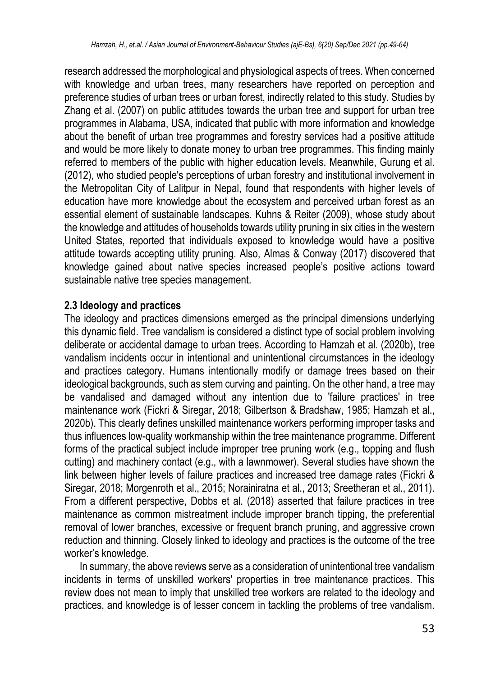research addressed the morphological and physiological aspects of trees. When concerned with knowledge and urban trees, many researchers have reported on perception and preference studies of urban trees or urban forest, indirectly related to this study. Studies by Zhang et al. (2007) on public attitudes towards the urban tree and support for urban tree programmes in Alabama, USA, indicated that public with more information and knowledge about the benefit of urban tree programmes and forestry services had a positive attitude and would be more likely to donate money to urban tree programmes. This finding mainly referred to members of the public with higher education levels. Meanwhile, Gurung et al. (2012), who studied people's perceptions of urban forestry and institutional involvement in the Metropolitan City of Lalitpur in Nepal, found that respondents with higher levels of education have more knowledge about the ecosystem and perceived urban forest as an essential element of sustainable landscapes. Kuhns & Reiter (2009), whose study about the knowledge and attitudes of households towards utility pruning in six cities in the western United States, reported that individuals exposed to knowledge would have a positive attitude towards accepting utility pruning. Also, Almas & Conway (2017) discovered that knowledge gained about native species increased people's positive actions toward sustainable native tree species management.

### **2.3 Ideology and practices**

The ideology and practices dimensions emerged as the principal dimensions underlying this dynamic field. Tree vandalism is considered a distinct type of social problem involving deliberate or accidental damage to urban trees. According to Hamzah et al. (2020b), tree vandalism incidents occur in intentional and unintentional circumstances in the ideology and practices category. Humans intentionally modify or damage trees based on their ideological backgrounds, such as stem curving and painting. On the other hand, a tree may be vandalised and damaged without any intention due to 'failure practices' in tree maintenance work (Fickri & Siregar, 2018; Gilbertson & Bradshaw, 1985; Hamzah et al., 2020b). This clearly defines unskilled maintenance workers performing improper tasks and thus influences low-quality workmanship within the tree maintenance programme. Different forms of the practical subject include improper tree pruning work (e.g., topping and flush cutting) and machinery contact (e.g., with a lawnmower). Several studies have shown the link between higher levels of failure practices and increased tree damage rates (Fickri & Siregar, 2018; Morgenroth et al., 2015; Norainiratna et al., 2013; Sreetheran et al., 2011). From a different perspective, Dobbs et al. (2018) asserted that failure practices in tree maintenance as common mistreatment include improper branch tipping, the preferential removal of lower branches, excessive or frequent branch pruning, and aggressive crown reduction and thinning. Closely linked to ideology and practices is the outcome of the tree worker's knowledge.

In summary, the above reviews serve as a consideration of unintentional tree vandalism incidents in terms of unskilled workers' properties in tree maintenance practices. This review does not mean to imply that unskilled tree workers are related to the ideology and practices, and knowledge is of lesser concern in tackling the problems of tree vandalism.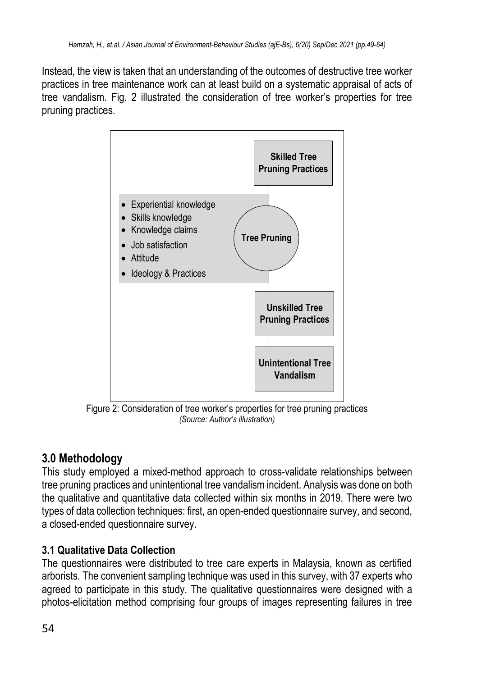Instead, the view is taken that an understanding of the outcomes of destructive tree worker practices in tree maintenance work can at least build on a systematic appraisal of acts of tree vandalism. Fig. 2 illustrated the consideration of tree worker's properties for tree pruning practices.



Figure 2: Consideration of tree worker's properties for tree pruning practices *(Source: Author's illustration)*

# **3.0 Methodology**

This study employed a mixed-method approach to cross-validate relationships between tree pruning practices and unintentional tree vandalism incident. Analysis was done on both the qualitative and quantitative data collected within six months in 2019. There were two types of data collection techniques: first, an open-ended questionnaire survey, and second, a closed-ended questionnaire survey.

# **3.1 Qualitative Data Collection**

The questionnaires were distributed to tree care experts in Malaysia, known as certified arborists. The convenient sampling technique was used in this survey, with 37 experts who agreed to participate in this study. The qualitative questionnaires were designed with a photos-elicitation method comprising four groups of images representing failures in tree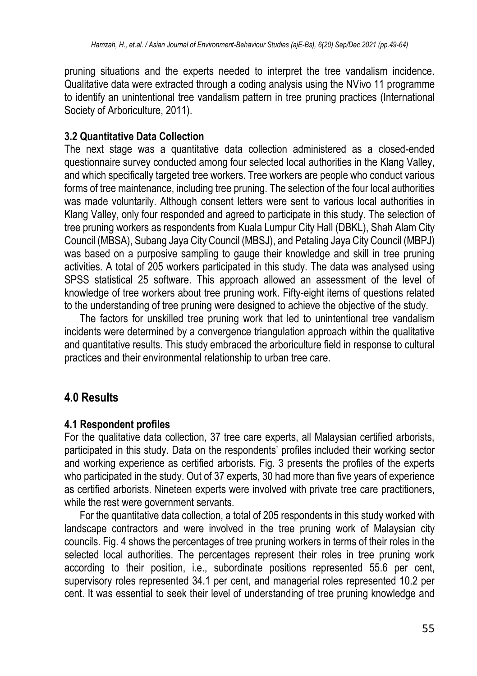pruning situations and the experts needed to interpret the tree vandalism incidence. Qualitative data were extracted through a coding analysis using the NVivo 11 programme to identify an unintentional tree vandalism pattern in tree pruning practices (International Society of Arboriculture, 2011).

### **3.2 Quantitative Data Collection**

The next stage was a quantitative data collection administered as a closed-ended questionnaire survey conducted among four selected local authorities in the Klang Valley, and which specifically targeted tree workers. Tree workers are people who conduct various forms of tree maintenance, including tree pruning. The selection of the four local authorities was made voluntarily. Although consent letters were sent to various local authorities in Klang Valley, only four responded and agreed to participate in this study. The selection of tree pruning workers as respondents from Kuala Lumpur City Hall (DBKL), Shah Alam City Council (MBSA), Subang Jaya City Council (MBSJ), and Petaling Jaya City Council (MBPJ) was based on a purposive sampling to gauge their knowledge and skill in tree pruning activities. A total of 205 workers participated in this study. The data was analysed using SPSS statistical 25 software. This approach allowed an assessment of the level of knowledge of tree workers about tree pruning work. Fifty-eight items of questions related to the understanding of tree pruning were designed to achieve the objective of the study.

The factors for unskilled tree pruning work that led to unintentional tree vandalism incidents were determined by a convergence triangulation approach within the qualitative and quantitative results. This study embraced the arboriculture field in response to cultural practices and their environmental relationship to urban tree care.

# **4.0 Results**

### **4.1 Respondent profiles**

For the qualitative data collection, 37 tree care experts, all Malaysian certified arborists, participated in this study. Data on the respondents' profiles included their working sector and working experience as certified arborists. Fig. 3 presents the profiles of the experts who participated in the study. Out of 37 experts, 30 had more than five years of experience as certified arborists. Nineteen experts were involved with private tree care practitioners, while the rest were government servants.

For the quantitative data collection, a total of 205 respondents in this study worked with landscape contractors and were involved in the tree pruning work of Malaysian city councils. Fig. 4 shows the percentages of tree pruning workers in terms of their roles in the selected local authorities. The percentages represent their roles in tree pruning work according to their position, i.e., subordinate positions represented 55.6 per cent, supervisory roles represented 34.1 per cent, and managerial roles represented 10.2 per cent. It was essential to seek their level of understanding of tree pruning knowledge and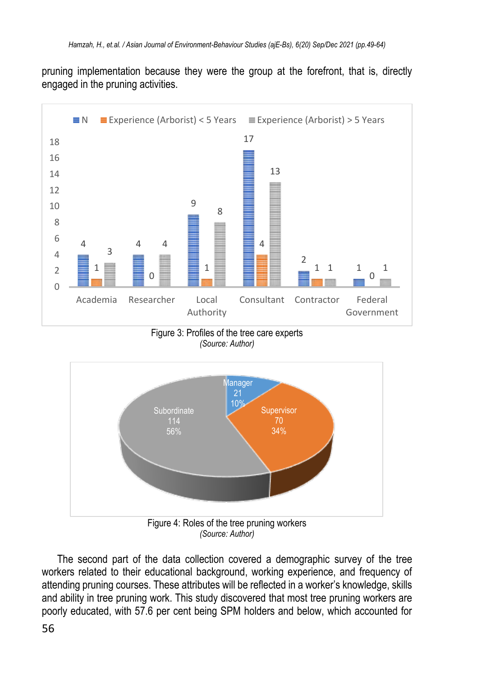pruning implementation because they were the group at the forefront, that is, directly engaged in the pruning activities.



Figure 3: Profiles of the tree care experts *(Source: Author)*



*(Source: Author)*

The second part of the data collection covered a demographic survey of the tree workers related to their educational background, working experience, and frequency of attending pruning courses. These attributes will be reflected in a worker's knowledge, skills and ability in tree pruning work. This study discovered that most tree pruning workers are poorly educated, with 57.6 per cent being SPM holders and below, which accounted for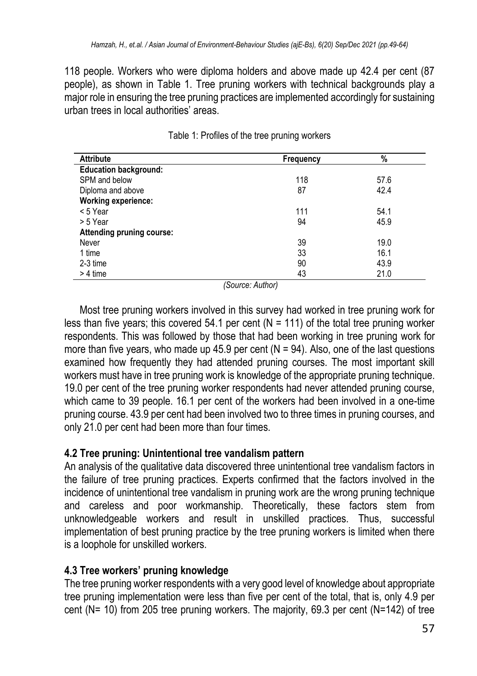118 people. Workers who were diploma holders and above made up 42.4 per cent (87 people), as shown in Table 1. Tree pruning workers with technical backgrounds play a major role in ensuring the tree pruning practices are implemented accordingly for sustaining urban trees in local authorities' areas.

| <b>Attribute</b>             | Frequency | %    |  |
|------------------------------|-----------|------|--|
| <b>Education background:</b> |           |      |  |
| SPM and below                | 118       | 57.6 |  |
| Diploma and above            | 87        | 42.4 |  |
| <b>Working experience:</b>   |           |      |  |
| < 5 Year                     | 111       | 54.1 |  |
| > 5 Year                     | 94        | 45.9 |  |
| Attending pruning course:    |           |      |  |
| Never                        | 39        | 19.0 |  |
| 1 time                       | 33        | 16.1 |  |
| 2-3 time                     | 90        | 43.9 |  |
| $> 4$ time                   | 43        | 21.0 |  |

|  |  |  |  |  |  | Table 1: Profiles of the tree pruning workers |
|--|--|--|--|--|--|-----------------------------------------------|
|--|--|--|--|--|--|-----------------------------------------------|

*(Source: Author)*

Most tree pruning workers involved in this survey had worked in tree pruning work for less than five years; this covered 54.1 per cent ( $N = 111$ ) of the total tree pruning worker respondents. This was followed by those that had been working in tree pruning work for more than five years, who made up 45.9 per cent ( $N = 94$ ). Also, one of the last questions examined how frequently they had attended pruning courses. The most important skill workers must have in tree pruning work is knowledge of the appropriate pruning technique. 19.0 per cent of the tree pruning worker respondents had never attended pruning course, which came to 39 people. 16.1 per cent of the workers had been involved in a one-time pruning course. 43.9 per cent had been involved two to three times in pruning courses, and only 21.0 per cent had been more than four times.

### **4.2 Tree pruning: Unintentional tree vandalism pattern**

An analysis of the qualitative data discovered three unintentional tree vandalism factors in the failure of tree pruning practices. Experts confirmed that the factors involved in the incidence of unintentional tree vandalism in pruning work are the wrong pruning technique and careless and poor workmanship. Theoretically, these factors stem from unknowledgeable workers and result in unskilled practices. Thus, successful implementation of best pruning practice by the tree pruning workers is limited when there is a loophole for unskilled workers.

### **4.3 Tree workers' pruning knowledge**

The tree pruning worker respondents with a very good level of knowledge about appropriate tree pruning implementation were less than five per cent of the total, that is, only 4.9 per cent (N= 10) from 205 tree pruning workers. The majority, 69.3 per cent (N=142) of tree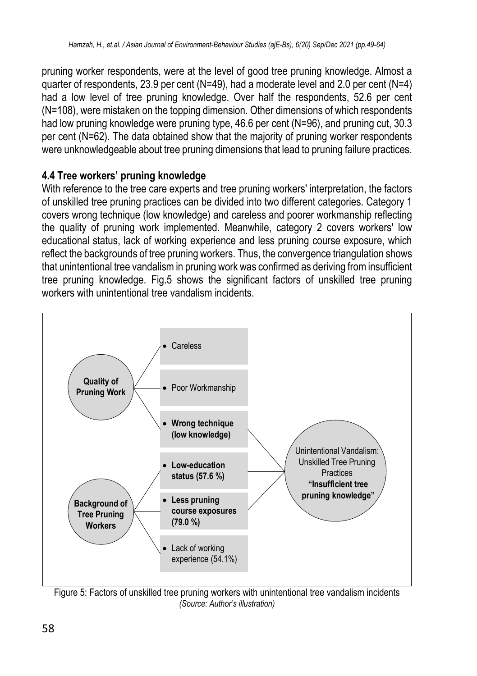pruning worker respondents, were at the level of good tree pruning knowledge. Almost a quarter of respondents, 23.9 per cent (N=49), had a moderate level and 2.0 per cent (N=4) had a low level of tree pruning knowledge. Over half the respondents, 52.6 per cent (N=108), were mistaken on the topping dimension. Other dimensions of which respondents had low pruning knowledge were pruning type, 46.6 per cent (N=96), and pruning cut, 30.3 per cent (N=62). The data obtained show that the majority of pruning worker respondents were unknowledgeable about tree pruning dimensions that lead to pruning failure practices.

### **4.4 Tree workers' pruning knowledge**

With reference to the tree care experts and tree pruning workers' interpretation, the factors of unskilled tree pruning practices can be divided into two different categories. Category 1 covers wrong technique (low knowledge) and careless and poorer workmanship reflecting the quality of pruning work implemented. Meanwhile, category 2 covers workers' low educational status, lack of working experience and less pruning course exposure, which reflect the backgrounds of tree pruning workers. Thus, the convergence triangulation shows that unintentional tree vandalism in pruning work was confirmed as deriving from insufficient tree pruning knowledge. Fig.5 shows the significant factors of unskilled tree pruning workers with unintentional tree vandalism incidents.



Figure 5: Factors of unskilled tree pruning workers with unintentional tree vandalism incidents *(Source: Author's illustration)*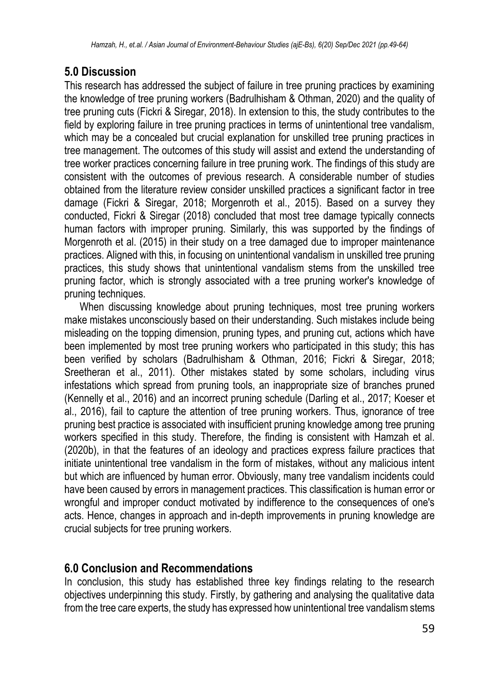# **5.0 Discussion**

This research has addressed the subject of failure in tree pruning practices by examining the knowledge of tree pruning workers (Badrulhisham & Othman, 2020) and the quality of tree pruning cuts (Fickri & Siregar, 2018). In extension to this, the study contributes to the field by exploring failure in tree pruning practices in terms of unintentional tree vandalism, which may be a concealed but crucial explanation for unskilled tree pruning practices in tree management. The outcomes of this study will assist and extend the understanding of tree worker practices concerning failure in tree pruning work. The findings of this study are consistent with the outcomes of previous research. A considerable number of studies obtained from the literature review consider unskilled practices a significant factor in tree damage (Fickri & Siregar, 2018; Morgenroth et al., 2015). Based on a survey they conducted, Fickri & Siregar (2018) concluded that most tree damage typically connects human factors with improper pruning. Similarly, this was supported by the findings of Morgenroth et al. (2015) in their study on a tree damaged due to improper maintenance practices. Aligned with this, in focusing on unintentional vandalism in unskilled tree pruning practices, this study shows that unintentional vandalism stems from the unskilled tree pruning factor, which is strongly associated with a tree pruning worker's knowledge of pruning techniques.

When discussing knowledge about pruning techniques, most tree pruning workers make mistakes unconsciously based on their understanding. Such mistakes include being misleading on the topping dimension, pruning types, and pruning cut, actions which have been implemented by most tree pruning workers who participated in this study; this has been verified by scholars (Badrulhisham & Othman, 2016; Fickri & Siregar, 2018; Sreetheran et al., 2011). Other mistakes stated by some scholars, including virus infestations which spread from pruning tools, an inappropriate size of branches pruned (Kennelly et al., 2016) and an incorrect pruning schedule (Darling et al., 2017; Koeser et al., 2016), fail to capture the attention of tree pruning workers. Thus, ignorance of tree pruning best practice is associated with insufficient pruning knowledge among tree pruning workers specified in this study. Therefore, the finding is consistent with Hamzah et al. (2020b), in that the features of an ideology and practices express failure practices that initiate unintentional tree vandalism in the form of mistakes, without any malicious intent but which are influenced by human error. Obviously, many tree vandalism incidents could have been caused by errors in management practices. This classification is human error or wrongful and improper conduct motivated by indifference to the consequences of one's acts. Hence, changes in approach and in-depth improvements in pruning knowledge are crucial subjects for tree pruning workers.

# **6.0 Conclusion and Recommendations**

In conclusion, this study has established three key findings relating to the research objectives underpinning this study. Firstly, by gathering and analysing the qualitative data from the tree care experts, the study has expressed how unintentional tree vandalism stems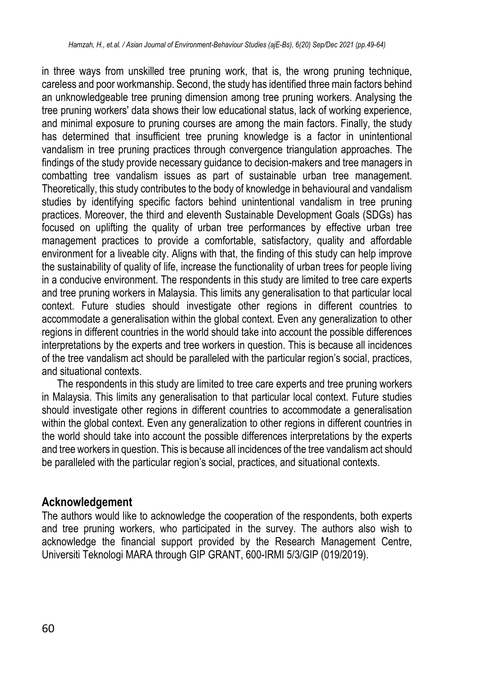in three ways from unskilled tree pruning work, that is, the wrong pruning technique, careless and poor workmanship. Second, the study has identified three main factors behind an unknowledgeable tree pruning dimension among tree pruning workers. Analysing the tree pruning workers' data shows their low educational status, lack of working experience, and minimal exposure to pruning courses are among the main factors. Finally, the study has determined that insufficient tree pruning knowledge is a factor in unintentional vandalism in tree pruning practices through convergence triangulation approaches. The findings of the study provide necessary guidance to decision-makers and tree managers in combatting tree vandalism issues as part of sustainable urban tree management. Theoretically, this study contributes to the body of knowledge in behavioural and vandalism studies by identifying specific factors behind unintentional vandalism in tree pruning practices. Moreover, the third and eleventh Sustainable Development Goals (SDGs) has focused on uplifting the quality of urban tree performances by effective urban tree management practices to provide a comfortable, satisfactory, quality and affordable environment for a liveable city. Aligns with that, the finding of this study can help improve the sustainability of quality of life, increase the functionality of urban trees for people living in a conducive environment. The respondents in this study are limited to tree care experts and tree pruning workers in Malaysia. This limits any generalisation to that particular local context. Future studies should investigate other regions in different countries to accommodate a generalisation within the global context. Even any generalization to other regions in different countries in the world should take into account the possible differences interpretations by the experts and tree workers in question. This is because all incidences of the tree vandalism act should be paralleled with the particular region's social, practices, and situational contexts.

The respondents in this study are limited to tree care experts and tree pruning workers in Malaysia. This limits any generalisation to that particular local context. Future studies should investigate other regions in different countries to accommodate a generalisation within the global context. Even any generalization to other regions in different countries in the world should take into account the possible differences interpretations by the experts and tree workers in question. This is because all incidences of the tree vandalism act should be paralleled with the particular region's social, practices, and situational contexts.

### **Acknowledgement**

The authors would like to acknowledge the cooperation of the respondents, both experts and tree pruning workers, who participated in the survey. The authors also wish to acknowledge the financial support provided by the Research Management Centre, Universiti Teknologi MARA through GIP GRANT, 600-IRMI 5/3/GIP (019/2019).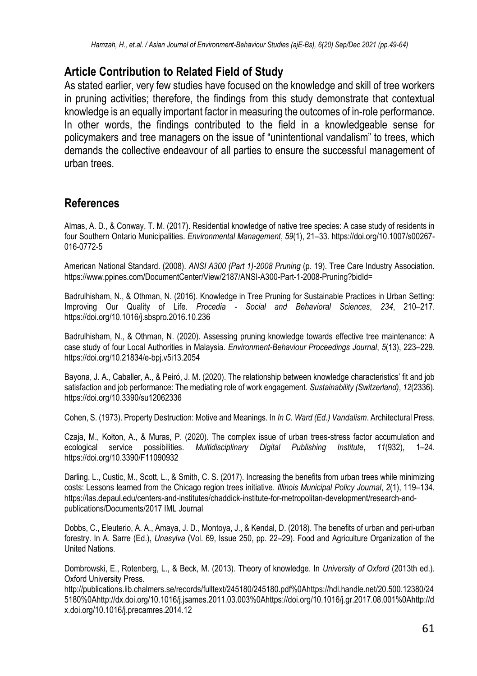### **Article Contribution to Related Field of Study**

As stated earlier, very few studies have focused on the knowledge and skill of tree workers in pruning activities; therefore, the findings from this study demonstrate that contextual knowledge is an equally important factor in measuring the outcomes of in-role performance. In other words, the findings contributed to the field in a knowledgeable sense for policymakers and tree managers on the issue of "unintentional vandalism" to trees, which demands the collective endeavour of all parties to ensure the successful management of urban trees.

### **References**

Almas, A. D., & Conway, T. M. (2017). Residential knowledge of native tree species: A case study of residents in four Southern Ontario Municipalities. *Environmental Management*, *59*(1), 21–33. https://doi.org/10.1007/s00267- 016-0772-5

American National Standard. (2008). *ANSI A300 (Part 1)-2008 Pruning* (p. 19). Tree Care Industry Association. https://www.ppines.com/DocumentCenter/View/2187/ANSI-A300-Part-1-2008-Pruning?bidId=

Badrulhisham, N., & Othman, N. (2016). Knowledge in Tree Pruning for Sustainable Practices in Urban Setting: Improving Our Quality of Life. *Procedia - Social and Behavioral Sciences*, *234*, 210–217. https://doi.org/10.1016/j.sbspro.2016.10.236

Badrulhisham, N., & Othman, N. (2020). Assessing pruning knowledge towards effective tree maintenance: A case study of four Local Authorities in Malaysia. *Environment-Behaviour Proceedings Journal*, *5*(13), 223–229. https://doi.org/10.21834/e-bpj.v5i13.2054

Bayona, J. A., Caballer, A., & Peiró, J. M. (2020). The relationship between knowledge characteristics' fit and job satisfaction and job performance: The mediating role of work engagement. *Sustainability (Switzerland)*, *12*(2336). https://doi.org/10.3390/su12062336

Cohen, S. (1973). Property Destruction: Motive and Meanings. In *In C. Ward (Ed.) Vandalism*. Architectural Press.

Czaja, M., Kołton, A., & Muras, P. (2020). The complex issue of urban trees-stress factor accumulation and<br>ecological service possibilities. Multidisciplinary Digital Publishing Institute. 11/932). 1–24. ecological service possibilities. *Multidisciplinary Digital Publishing Institute*, *11*(932), 1–24. https://doi.org/10.3390/F11090932

Darling, L., Custic, M., Scott, L., & Smith, C. S. (2017). Increasing the benefits from urban trees while minimizing costs: Lessons learned from the Chicago region trees initiative. *Illinois Municipal Policy Journal*, *2*(1), 119–134. https://las.depaul.edu/centers-and-institutes/chaddick-institute-for-metropolitan-development/research-andpublications/Documents/2017 IML Journal

Dobbs, C., Eleuterio, A. A., Amaya, J. D., Montoya, J., & Kendal, D. (2018). The benefits of urban and peri-urban forestry. In A. Sarre (Ed.), *Unasylva* (Vol. 69, Issue 250, pp. 22–29). Food and Agriculture Organization of the United Nations.

Dombrowski, E., Rotenberg, L., & Beck, M. (2013). Theory of knowledge. In *University of Oxford* (2013th ed.). Oxford University Press.

http://publications.lib.chalmers.se/records/fulltext/245180/245180.pdf%0Ahttps://hdl.handle.net/20.500.12380/24 5180%0Ahttp://dx.doi.org/10.1016/j.jsames.2011.03.003%0Ahttps://doi.org/10.1016/j.gr.2017.08.001%0Ahttp://d x.doi.org/10.1016/j.precamres.2014.12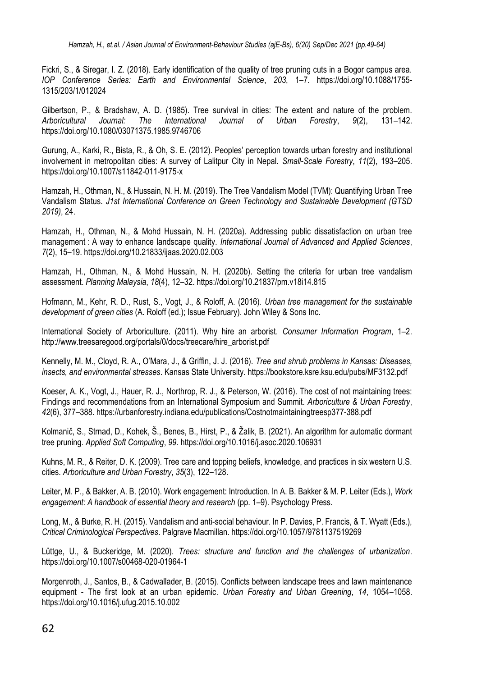Fickri, S., & Siregar, I. Z. (2018). Early identification of the quality of tree pruning cuts in a Bogor campus area. *IOP Conference Series: Earth and Environmental Science*, *203*, 1–7. https://doi.org/10.1088/1755- 1315/203/1/012024

Gilbertson, P., & Bradshaw, A. D. (1985). Tree survival in cities: The extent and nature of the problem.<br>Arboricultural Journal: The International Journal of Urban Forestry. 9(2). 131–142. *Arboricultural Journal: The International Journal of Urban Forestry*, *9*(2), 131–142. https://doi.org/10.1080/03071375.1985.9746706

Gurung, A., Karki, R., Bista, R., & Oh, S. E. (2012). Peoples' perception towards urban forestry and institutional involvement in metropolitan cities: A survey of Lalitpur City in Nepal. *Small-Scale Forestry*, *11*(2), 193–205. https://doi.org/10.1007/s11842-011-9175-x

Hamzah, H., Othman, N., & Hussain, N. H. M. (2019). The Tree Vandalism Model (TVM): Quantifying Urban Tree Vandalism Status. *J1st International Conference on Green Technology and Sustainable Development (GTSD 2019)*, 24.

Hamzah, H., Othman, N., & Mohd Hussain, N. H. (2020a). Addressing public dissatisfaction on urban tree management : A way to enhance landscape quality. *International Journal of Advanced and Applied Sciences*, *7*(2), 15–19. https://doi.org/10.21833/ijaas.2020.02.003

Hamzah, H., Othman, N., & Mohd Hussain, N. H. (2020b). Setting the criteria for urban tree vandalism assessment. *Planning Malaysia*, *18*(4), 12–32. https://doi.org/10.21837/pm.v18i14.815

Hofmann, M., Kehr, R. D., Rust, S., Vogt, J., & Roloff, A. (2016). *Urban tree management for the sustainable development of green cities* (A. Roloff (ed.); Issue February). John Wiley & Sons Inc.

International Society of Arboriculture. (2011). Why hire an arborist. *Consumer Information Program*, 1–2. http://www.treesaregood.org/portals/0/docs/treecare/hire\_arborist.pdf

Kennelly, M. M., Cloyd, R. A., O'Mara, J., & Griffin, J. J. (2016). *Tree and shrub problems in Kansas: Diseases, insects, and environmental stresses*. Kansas State University. https://bookstore.ksre.ksu.edu/pubs/MF3132.pdf

Koeser, A. K., Vogt, J., Hauer, R. J., Northrop, R. J., & Peterson, W. (2016). The cost of not maintaining trees: Findings and recommendations from an International Symposium and Summit. *Arboriculture & Urban Forestry*, *42*(6), 377–388. https://urbanforestry.indiana.edu/publications/Costnotmaintainingtreesp377-388.pdf

Kolmanič, S., Strnad, D., Kohek, Š., Benes, B., Hirst, P., & Žalik, B. (2021). An algorithm for automatic dormant tree pruning. *Applied Soft Computing*, *99*. https://doi.org/10.1016/j.asoc.2020.106931

Kuhns, M. R., & Reiter, D. K. (2009). Tree care and topping beliefs, knowledge, and practices in six western U.S. cities. *Arboriculture and Urban Forestry*, *35*(3), 122–128.

Leiter, M. P., & Bakker, A. B. (2010). Work engagement: Introduction. In A. B. Bakker & M. P. Leiter (Eds.), *Work engagement: A handbook of essential theory and research* (pp. 1–9). Psychology Press.

Long, M., & Burke, R. H. (2015). Vandalism and anti-social behaviour. In P. Davies, P. Francis, & T. Wyatt (Eds.), *Critical Criminological Perspectives*. Palgrave Macmillan. https://doi.org/10.1057/9781137519269

Lüttge, U., & Buckeridge, M. (2020). *Trees: structure and function and the challenges of urbanization*. https://doi.org/10.1007/s00468-020-01964-1

Morgenroth, J., Santos, B., & Cadwallader, B. (2015). Conflicts between landscape trees and lawn maintenance equipment - The first look at an urban epidemic. *Urban Forestry and Urban Greening*, *14*, 1054–1058. https://doi.org/10.1016/j.ufug.2015.10.002